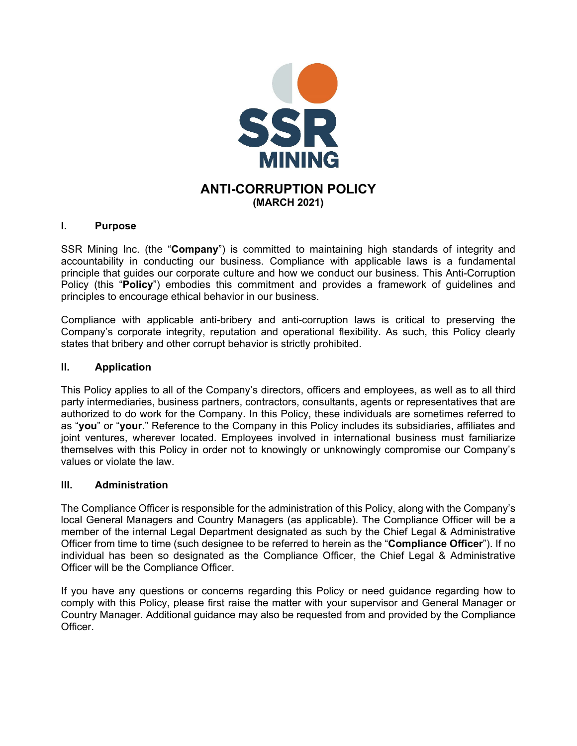

## **I. Purpose**

SSR Mining Inc. (the "**Company**") is committed to maintaining high standards of integrity and accountability in conducting our business. Compliance with applicable laws is a fundamental principle that guides our corporate culture and how we conduct our business. This Anti-Corruption Policy (this "**Policy**") embodies this commitment and provides a framework of guidelines and principles to encourage ethical behavior in our business.

Compliance with applicable anti-bribery and anti-corruption laws is critical to preserving the Company's corporate integrity, reputation and operational flexibility. As such, this Policy clearly states that bribery and other corrupt behavior is strictly prohibited.

### **II. Application**

This Policy applies to all of the Company's directors, officers and employees, as well as to all third party intermediaries, business partners, contractors, consultants, agents or representatives that are authorized to do work for the Company. In this Policy, these individuals are sometimes referred to as "**you**" or "**your.**" Reference to the Company in this Policy includes its subsidiaries, affiliates and joint ventures, wherever located. Employees involved in international business must familiarize themselves with this Policy in order not to knowingly or unknowingly compromise our Company's values or violate the law.

## **III. Administration**

The Compliance Officer is responsible for the administration of this Policy, along with the Company's local General Managers and Country Managers (as applicable). The Compliance Officer will be a member of the internal Legal Department designated as such by the Chief Legal & Administrative Officer from time to time (such designee to be referred to herein as the "**Compliance Officer**"). If no individual has been so designated as the Compliance Officer, the Chief Legal & Administrative Officer will be the Compliance Officer.

If you have any questions or concerns regarding this Policy or need guidance regarding how to comply with this Policy, please first raise the matter with your supervisor and General Manager or Country Manager. Additional guidance may also be requested from and provided by the Compliance Officer.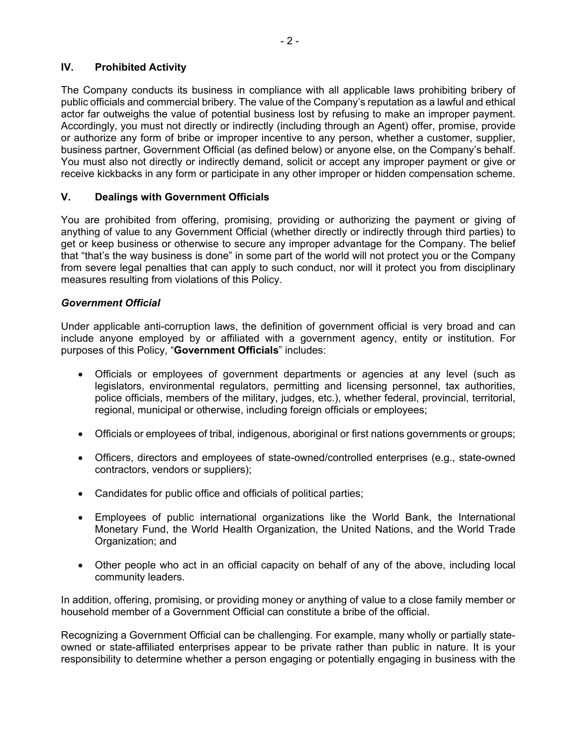## **IV. Prohibited Activity**

The Company conducts its business in compliance with all applicable laws prohibiting bribery of public officials and commercial bribery. The value of the Company's reputation as a lawful and ethical actor far outweighs the value of potential business lost by refusing to make an improper payment. Accordingly, you must not directly or indirectly (including through an Agent) offer, promise, provide or authorize any form of bribe or improper incentive to any person, whether a customer, supplier, business partner, Government Official (as defined below) or anyone else, on the Company's behalf. You must also not directly or indirectly demand, solicit or accept any improper payment or give or receive kickbacks in any form or participate in any other improper or hidden compensation scheme.

# **V. Dealings with Government Officials**

You are prohibited from offering, promising, providing or authorizing the payment or giving of anything of value to any Government Official (whether directly or indirectly through third parties) to get or keep business or otherwise to secure any improper advantage for the Company. The belief that "that's the way business is done" in some part of the world will not protect you or the Company from severe legal penalties that can apply to such conduct, nor will it protect you from disciplinary measures resulting from violations of this Policy.

## *Government Official*

Under applicable anti-corruption laws, the definition of government official is very broad and can include anyone employed by or affiliated with a government agency, entity or institution. For purposes of this Policy, "**Government Officials**" includes:

- Officials or employees of government departments or agencies at any level (such as legislators, environmental regulators, permitting and licensing personnel, tax authorities, police officials, members of the military, judges, etc.), whether federal, provincial, territorial, regional, municipal or otherwise, including foreign officials or employees;
- Officials or employees of tribal, indigenous, aboriginal or first nations governments or groups;
- Officers, directors and employees of state-owned/controlled enterprises (e.g., state-owned contractors, vendors or suppliers);
- Candidates for public office and officials of political parties;
- Employees of public international organizations like the World Bank, the International Monetary Fund, the World Health Organization, the United Nations, and the World Trade Organization; and
- Other people who act in an official capacity on behalf of any of the above, including local community leaders.

In addition, offering, promising, or providing money or anything of value to a close family member or household member of a Government Official can constitute a bribe of the official.

Recognizing a Government Official can be challenging. For example, many wholly or partially stateowned or state-affiliated enterprises appear to be private rather than public in nature. It is your responsibility to determine whether a person engaging or potentially engaging in business with the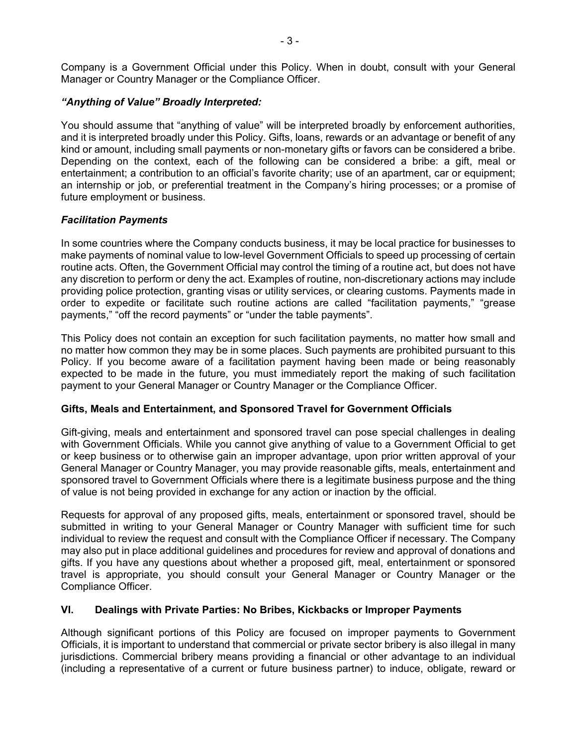Company is a Government Official under this Policy. When in doubt, consult with your General Manager or Country Manager or the Compliance Officer.

### *"Anything of Value" Broadly Interpreted:*

You should assume that "anything of value" will be interpreted broadly by enforcement authorities, and it is interpreted broadly under this Policy. Gifts, loans, rewards or an advantage or benefit of any kind or amount, including small payments or non-monetary gifts or favors can be considered a bribe. Depending on the context, each of the following can be considered a bribe: a gift, meal or entertainment; a contribution to an official's favorite charity; use of an apartment, car or equipment; an internship or job, or preferential treatment in the Company's hiring processes; or a promise of future employment or business.

## *Facilitation Payments*

In some countries where the Company conducts business, it may be local practice for businesses to make payments of nominal value to low-level Government Officials to speed up processing of certain routine acts. Often, the Government Official may control the timing of a routine act, but does not have any discretion to perform or deny the act. Examples of routine, non-discretionary actions may include providing police protection, granting visas or utility services, or clearing customs. Payments made in order to expedite or facilitate such routine actions are called "facilitation payments," "grease payments," "off the record payments" or "under the table payments".

This Policy does not contain an exception for such facilitation payments, no matter how small and no matter how common they may be in some places. Such payments are prohibited pursuant to this Policy. If you become aware of a facilitation payment having been made or being reasonably expected to be made in the future, you must immediately report the making of such facilitation payment to your General Manager or Country Manager or the Compliance Officer.

#### **Gifts, Meals and Entertainment, and Sponsored Travel for Government Officials**

Gift-giving, meals and entertainment and sponsored travel can pose special challenges in dealing with Government Officials. While you cannot give anything of value to a Government Official to get or keep business or to otherwise gain an improper advantage, upon prior written approval of your General Manager or Country Manager, you may provide reasonable gifts, meals, entertainment and sponsored travel to Government Officials where there is a legitimate business purpose and the thing of value is not being provided in exchange for any action or inaction by the official.

Requests for approval of any proposed gifts, meals, entertainment or sponsored travel, should be submitted in writing to your General Manager or Country Manager with sufficient time for such individual to review the request and consult with the Compliance Officer if necessary. The Company may also put in place additional guidelines and procedures for review and approval of donations and gifts. If you have any questions about whether a proposed gift, meal, entertainment or sponsored travel is appropriate, you should consult your General Manager or Country Manager or the Compliance Officer.

## **VI. Dealings with Private Parties: No Bribes, Kickbacks or Improper Payments**

Although significant portions of this Policy are focused on improper payments to Government Officials, it is important to understand that commercial or private sector bribery is also illegal in many jurisdictions. Commercial bribery means providing a financial or other advantage to an individual (including a representative of a current or future business partner) to induce, obligate, reward or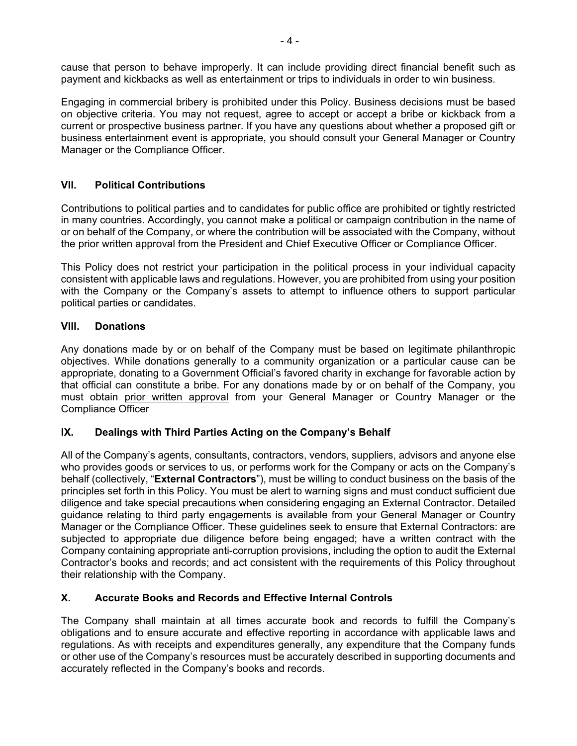cause that person to behave improperly. It can include providing direct financial benefit such as payment and kickbacks as well as entertainment or trips to individuals in order to win business.

Engaging in commercial bribery is prohibited under this Policy. Business decisions must be based on objective criteria. You may not request, agree to accept or accept a bribe or kickback from a current or prospective business partner. If you have any questions about whether a proposed gift or business entertainment event is appropriate, you should consult your General Manager or Country Manager or the Compliance Officer.

# **VII. Political Contributions**

Contributions to political parties and to candidates for public office are prohibited or tightly restricted in many countries. Accordingly, you cannot make a political or campaign contribution in the name of or on behalf of the Company, or where the contribution will be associated with the Company, without the prior written approval from the President and Chief Executive Officer or Compliance Officer.

This Policy does not restrict your participation in the political process in your individual capacity consistent with applicable laws and regulations. However, you are prohibited from using your position with the Company or the Company's assets to attempt to influence others to support particular political parties or candidates.

# **VIII. Donations**

Any donations made by or on behalf of the Company must be based on legitimate philanthropic objectives. While donations generally to a community organization or a particular cause can be appropriate, donating to a Government Official's favored charity in exchange for favorable action by that official can constitute a bribe. For any donations made by or on behalf of the Company, you must obtain prior written approval from your General Manager or Country Manager or the Compliance Officer

## **IX. Dealings with Third Parties Acting on the Company's Behalf**

All of the Company's agents, consultants, contractors, vendors, suppliers, advisors and anyone else who provides goods or services to us, or performs work for the Company or acts on the Company's behalf (collectively, "**External Contractors**"), must be willing to conduct business on the basis of the principles set forth in this Policy. You must be alert to warning signs and must conduct sufficient due diligence and take special precautions when considering engaging an External Contractor. Detailed guidance relating to third party engagements is available from your General Manager or Country Manager or the Compliance Officer. These guidelines seek to ensure that External Contractors: are subjected to appropriate due diligence before being engaged; have a written contract with the Company containing appropriate anti-corruption provisions, including the option to audit the External Contractor's books and records; and act consistent with the requirements of this Policy throughout their relationship with the Company.

# **X. Accurate Books and Records and Effective Internal Controls**

The Company shall maintain at all times accurate book and records to fulfill the Company's obligations and to ensure accurate and effective reporting in accordance with applicable laws and regulations. As with receipts and expenditures generally, any expenditure that the Company funds or other use of the Company's resources must be accurately described in supporting documents and accurately reflected in the Company's books and records.